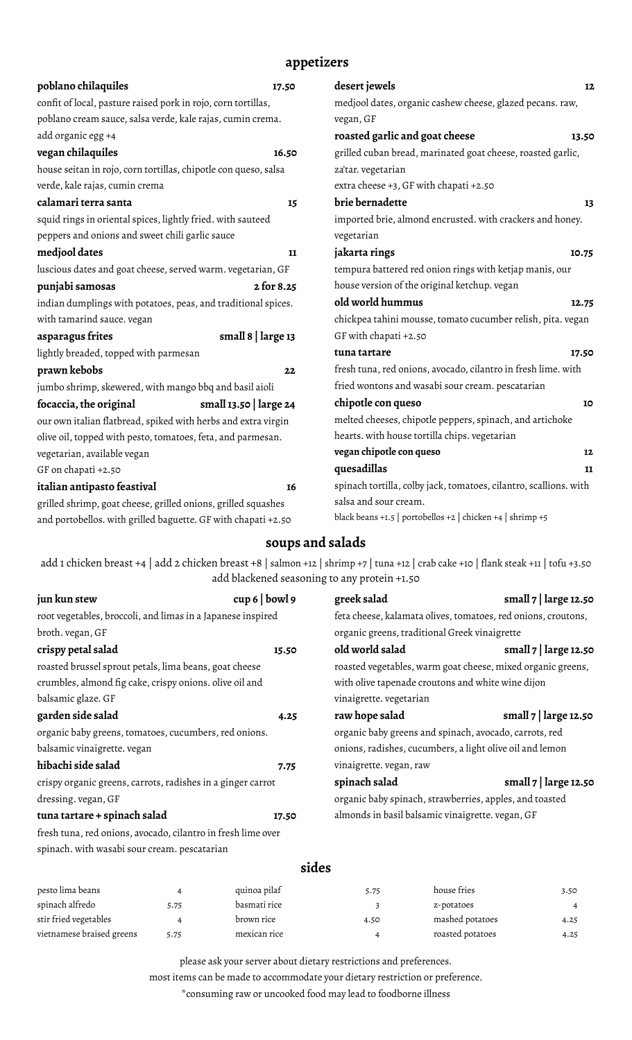# **appetizers**

| poblano chilaquiles                                                                                    | 17.50                                                      | desert jewels                                                 | 12    |
|--------------------------------------------------------------------------------------------------------|------------------------------------------------------------|---------------------------------------------------------------|-------|
| confit of local, pasture raised pork in rojo, corn tortillas,                                          |                                                            | medjool dates, organic cashew cheese, glazed pecans. raw,     |       |
| poblano cream sauce, salsa verde, kale rajas, cumin crema.                                             |                                                            | vegan, GF                                                     |       |
| add organic egg +4                                                                                     |                                                            | roasted garlic and goat cheese                                | 13.50 |
| vegan chilaquiles                                                                                      | 16.50                                                      | grilled cuban bread, marinated goat cheese, roasted garlic,   |       |
| house seitan in rojo, corn tortillas, chipotle con queso, salsa                                        |                                                            | za'tar. vegetarian                                            |       |
| verde, kale rajas, cumin crema                                                                         |                                                            | extra cheese +3, GF with chapati +2.50                        |       |
| calamari terra santa                                                                                   | 15                                                         | brie bernadette                                               | 13    |
| squid rings in oriental spices, lightly fried. with sauteed                                            |                                                            | imported brie, almond encrusted. with crackers and honey.     |       |
| peppers and onions and sweet chili garlic sauce                                                        |                                                            | vegetarian                                                    |       |
| medjool dates                                                                                          | 11                                                         | jakarta rings                                                 |       |
| luscious dates and goat cheese, served warm. vegetarian, GF                                            |                                                            | tempura battered red onion rings with ketjap manis, our       |       |
| punjabi samosas                                                                                        | house version of the original ketchup. vegan<br>2 for 8.25 |                                                               |       |
| indian dumplings with potatoes, peas, and traditional spices.                                          |                                                            | old world hummus                                              | 12.75 |
| with tamarind sauce. vegan                                                                             |                                                            | chickpea tahini mousse, tomato cucumber relish, pita. vegan   |       |
| asparagus frites                                                                                       | small $8 \mid \text{large } 13$                            | GF with chapati +2.50                                         |       |
| lightly breaded, topped with parmesan                                                                  |                                                            | tuna tartare                                                  | 17.50 |
| prawn kebobs                                                                                           | 22                                                         | fresh tuna, red onions, avocado, cilantro in fresh lime. with |       |
| jumbo shrimp, skewered, with mango bbq and basil aioli                                                 |                                                            | fried wontons and wasabi sour cream. pescatarian              |       |
| focaccia, the original                                                                                 | small 13.50   large 24                                     | chipotle con queso                                            | 10    |
| our own italian flatbread, spiked with herbs and extra virgin                                          |                                                            | melted cheeses, chipotle peppers, spinach, and artichoke      |       |
| olive oil, topped with pesto, tomatoes, feta, and parmesan.                                            |                                                            | hearts. with house tortilla chips. vegetarian                 |       |
| vegetarian, available vegan                                                                            |                                                            | vegan chipotle con queso<br>12                                |       |
| GF on chapati +2.50                                                                                    |                                                            | quesadillas                                                   | 11    |
| spinach tortilla, colby jack, tomatoes, cilantro, scallions. with<br>italian antipasto feastival<br>16 |                                                            |                                                               |       |
| grilled shrimp, goat cheese, grilled onions, grilled squashes                                          |                                                            | salsa and sour cream.                                         |       |
| and portobellos. with grilled baguette. GF with chapati +2.50                                          |                                                            | black beans +1.5   portobellos +2   chicken +4   shrimp +5    |       |

# **soups and salads**

add 1 chicken breast +4 | add 2 chicken breast +8 | salmon +12 | shrimp +7 | tuna +12 | crab cake +10 | flank steak +11 | tofu +3.50 add blackened seasoning to any protein +1.50

| jun kun stew                                                 | cup 6   bound 9 | greek salad                                                   | small 7   large 12.50   |
|--------------------------------------------------------------|-----------------|---------------------------------------------------------------|-------------------------|
| root vegetables, broccoli, and limas in a Japanese inspired  |                 | feta cheese, kalamata olives, tomatoes, red onions, croutons, |                         |
| broth. vegan, GF                                             |                 | organic greens, traditional Greek vinaigrette                 |                         |
| crispy petal salad                                           | 15.50           | old world salad                                               | small $7$   large 12.50 |
| roasted brussel sprout petals, lima beans, goat cheese       |                 | roasted vegetables, warm goat cheese, mixed organic greens,   |                         |
| crumbles, almond fig cake, crispy onions. olive oil and      |                 | with olive tapenade croutons and white wine dijon             |                         |
| balsamic glaze. GF                                           |                 | vinaigrette. vegetarian                                       |                         |
| garden side salad                                            | 4.25            | raw hope salad                                                | small $7$   large 12.50 |
| organic baby greens, tomatoes, cucumbers, red onions.        |                 | organic baby greens and spinach, avocado, carrots, red        |                         |
| balsamic vinaigrette. vegan                                  |                 | onions, radishes, cucumbers, a light olive oil and lemon      |                         |
| hibachi side salad                                           | 7.75            | vinaigrette. vegan, raw                                       |                         |
| crispy organic greens, carrots, radishes in a ginger carrot  |                 | spinach salad                                                 | small 7   large 12.50   |
| dressing. vegan, GF                                          |                 | organic baby spinach, strawberries, apples, and toasted       |                         |
| tuna tartare + spinach salad                                 | 17.50           | almonds in basil balsamic vinaigrette. vegan, GF              |                         |
| fresh tuna, red onions, avocado, cilantro in fresh lime over |                 |                                                               |                         |

spinach. with wasabi sour cream. pescatarian

## **sides**

| pesto lima beans          |      | quinoa pilaf | 5.75 | house fries      | 3.50 |
|---------------------------|------|--------------|------|------------------|------|
| spinach alfredo           | 5.75 | basmati rice |      | z-potatoes       |      |
| stir fried vegetables     |      | brown rice   | 4.50 | mashed potatoes  | 4.25 |
| vietnamese braised greens | 5.75 | mexican rice |      | roasted potatoes | 4.25 |

please ask your server about dietary restrictions and preferences.

most items can be made to accommodate your dietary restriction or preference.

\*consuming raw or uncooked food may lead to foodborne illness